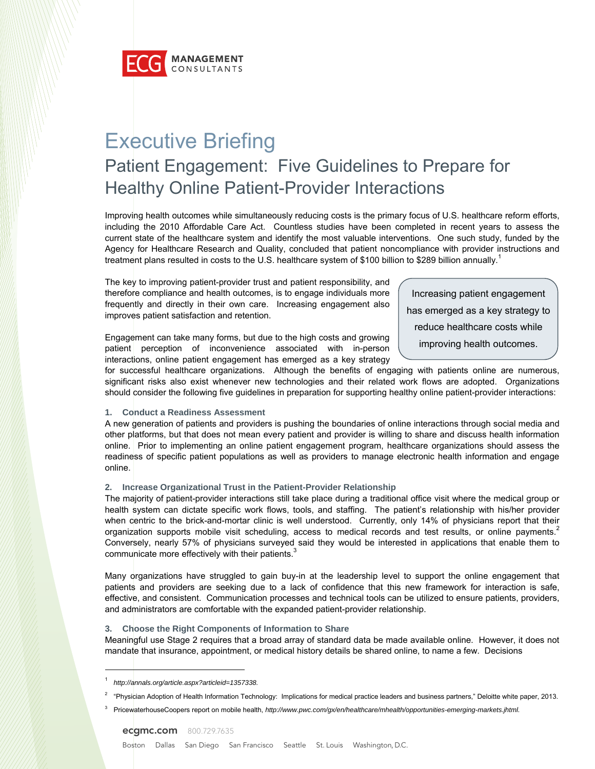

# Executive Briefing Patient Engagement: Five Guidelines to Prepare for Healthy Online Patient-Provider Interactions

Improving health outcomes while simultaneously reducing costs is the primary focus of U.S. healthcare reform efforts, including the 2010 Affordable Care Act. Countless studies have been completed in recent years to assess the current state of the healthcare system and identify the most valuable interventions. One such study, funded by the Agency for Healthcare Research and Quality, concluded that patient noncompliance with provider instructions and treatment plans resulted in costs to the U.S. healthcare system of \$100 billion to \$289 billion annually.<sup>1</sup>

The key to improving patient-provider trust and patient responsibility, and therefore compliance and health outcomes, is to engage individuals more frequently and directly in their own care. Increasing engagement also improves patient satisfaction and retention.

Engagement can take many forms, but due to the high costs and growing patient perception of inconvenience associated with in-person interactions, online patient engagement has emerged as a key strategy

Increasing patient engagement has emerged as a key strategy to reduce healthcare costs while improving health outcomes.

for successful healthcare organizations. Although the benefits of engaging with patients online are numerous, significant risks also exist whenever new technologies and their related work flows are adopted. Organizations should consider the following five guidelines in preparation for supporting healthy online patient-provider interactions:

#### **1. Conduct a Readiness Assessment**

A new generation of patients and providers is pushing the boundaries of online interactions through social media and other platforms, but that does not mean every patient and provider is willing to share and discuss health information online. Prior to implementing an online patient engagement program, healthcare organizations should assess the readiness of specific patient populations as well as providers to manage electronic health information and engage online.

# **2. Increase Organizational Trust in the Patient-Provider Relationship**

The majority of patient-provider interactions still take place during a traditional office visit where the medical group or health system can dictate specific work flows, tools, and staffing. The patient's relationship with his/her provider when centric to the brick-and-mortar clinic is well understood. Currently, only 14% of physicians report that their organization supports mobile visit scheduling, access to medical records and test results, or online payments.<sup>2</sup> Conversely, nearly 57% of physicians surveyed said they would be interested in applications that enable them to communicate more effectively with their patients. $3$ 

Many organizations have struggled to gain buy-in at the leadership level to support the online engagement that patients and providers are seeking due to a lack of confidence that this new framework for interaction is safe, effective, and consistent. Communication processes and technical tools can be utilized to ensure patients, providers, and administrators are comfortable with the expanded patient-provider relationship.

#### **3. Choose the Right Components of Information to Share**

Meaningful use Stage 2 requires that a broad array of standard data be made available online. However, it does not mandate that insurance, appointment, or medical history details be shared online, to name a few. Decisions

 $\overline{a}$ 

<sup>1</sup> *http://annals.org/article.aspx?articleid=1357338.*

<sup>2</sup> "Physician Adoption of Health Information Technology: Implications for medical practice leaders and business partners," Deloitte white paper, 2013.

<sup>3</sup> PricewaterhouseCoopers report on mobile health, *http://www.pwc.com/gx/en/healthcare/mhealth/opportunities-emerging-markets.jhtml.*